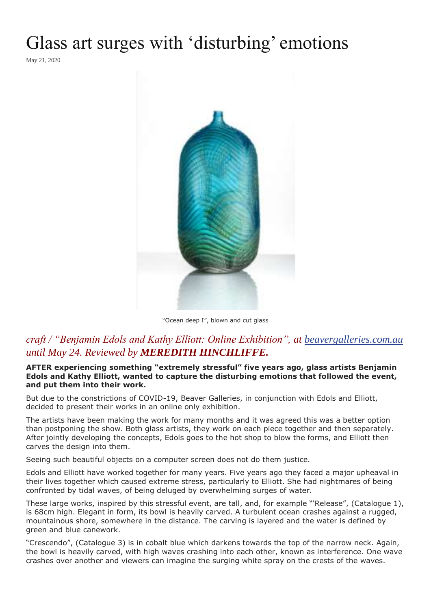## Glass art surges with 'disturbing' emotions

May 21, 2020



"Ocean deep I", blown and cut glass

## *craft / "Benjamin Edols and Kathy Elliott: Online Exhibition", at [beavergalleries.com.au](http://beavergalleries.com.au/exhibitions/online-exhibition-2/edols/) until May 24. Reviewed by MEREDITH HINCHLIFFE.*

**AFTER experiencing something "extremely stressful" five years ago, glass artists Benjamin Edols and Kathy Elliott, wanted to capture the disturbing emotions that followed the event, and put them into their work.**

But due to the constrictions of COVID-19, Beaver Galleries, in conjunction with Edols and Elliott, decided to present their works in an online only exhibition.

The artists have been making the work for many months and it was agreed this was a better option than postponing the show. Both glass artists, they work on each piece together and then separately. After jointly developing the concepts, Edols goes to the hot shop to blow the forms, and Elliott then carves the design into them.

Seeing such beautiful objects on a computer screen does not do them justice.

Edols and Elliott have worked together for many years. Five years ago they faced a major upheaval in their lives together which caused extreme stress, particularly to Elliott. She had nightmares of being confronted by tidal waves, of being deluged by overwhelming surges of water.

These large works, inspired by this stressful event, are tall, and, for example "'Release", (Catalogue 1), is 68cm high. Elegant in form, its bowl is heavily carved. A turbulent ocean crashes against a rugged, mountainous shore, somewhere in the distance. The carving is layered and the water is defined by green and blue canework.

"Crescendo", (Catalogue 3) is in cobalt blue which darkens towards the top of the narrow neck. Again, the bowl is heavily carved, with high waves crashing into each other, known as interference. One wave crashes over another and viewers can imagine the surging white spray on the crests of the waves.